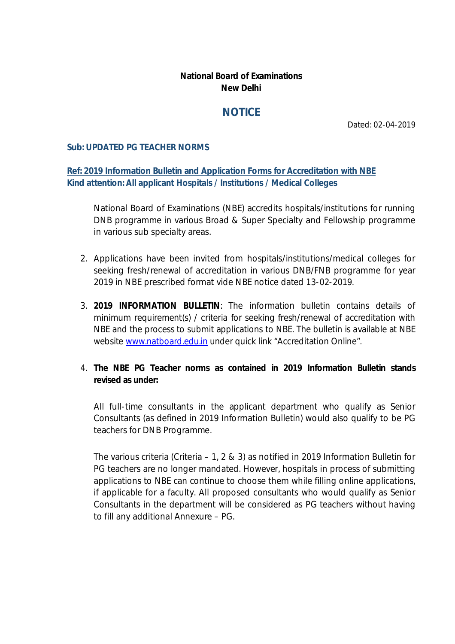## **National Board of Examinations New Delhi**

# **NOTICE**

Dated: 02-04-2019

#### **Sub: UPDATED PG TEACHER NORMS**

### **Ref: 2019 Information Bulletin and Application Forms for Accreditation with NBE Kind attention: All applicant Hospitals / Institutions / Medical Colleges**

National Board of Examinations (NBE) accredits hospitals/institutions for running DNB programme in various Broad & Super Specialty and Fellowship programme in various sub specialty areas.

- 2. Applications have been invited from hospitals/institutions/medical colleges for seeking fresh/renewal of accreditation in various DNB/FNB programme for year 2019 in NBE prescribed format vide NBE notice dated 13-02-2019.
- 3. **2019 INFORMATION BULLETIN**: The information bulletin contains details of minimum requirement(s) / criteria for seeking fresh/renewal of accreditation with NBE and the process to submit applications to NBE. The bulletin is available at NBE website [www.natboard.edu.in](http://www.natboard.edu.in) under quick link "Accreditation Online".
- 4. **The NBE PG Teacher norms as contained in 2019 Information Bulletin stands revised as under:**

*All full-time consultants in the applicant department who qualify as Senior Consultants (as defined in 2019 Information Bulletin) would also qualify to be PG teachers for DNB Programme.*

*The various criteria (Criteria – 1, 2 & 3) as notified in 2019 Information Bulletin for PG teachers are no longer mandated. However, hospitals in process of submitting applications to NBE can continue to choose them while filling online applications, if applicable for a faculty. All proposed consultants who would qualify as Senior Consultants in the department will be considered as PG teachers without having to fill any additional Annexure – PG.*